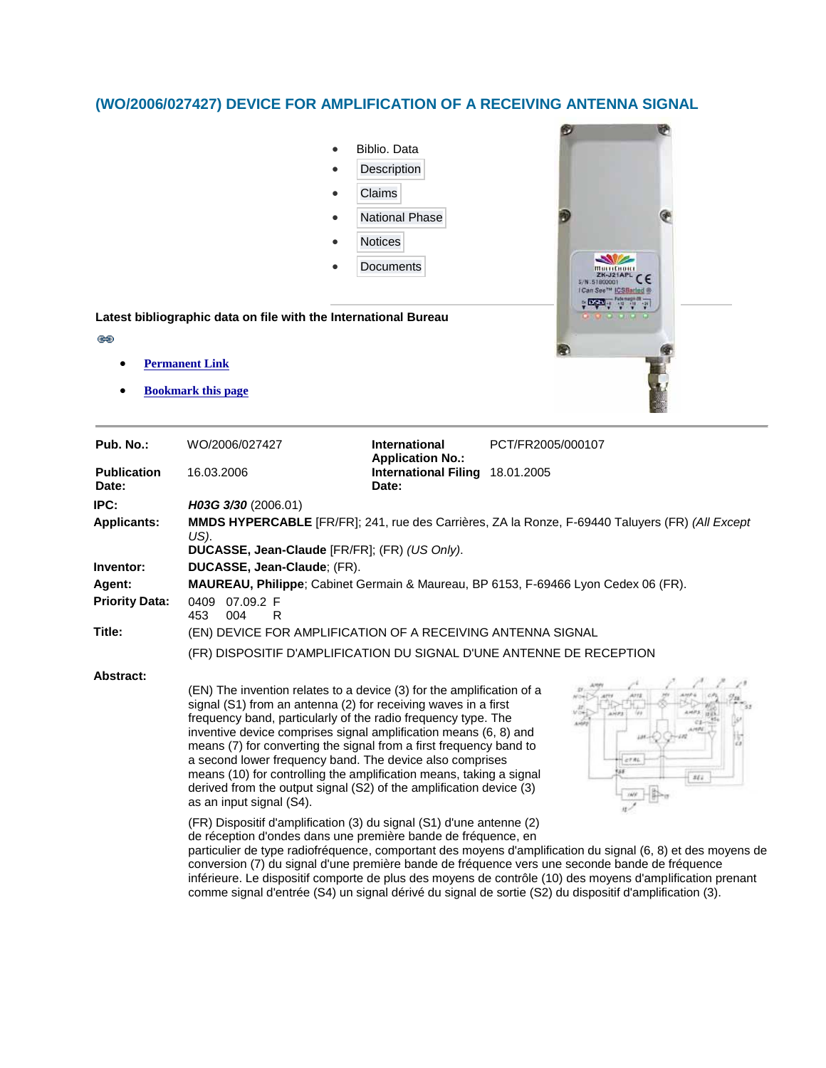## **(WO/2006/027427) DEVICE FOR AMPLIFICATION OF A RECEIVING ANTENNA SIGNAL**

ෂ



| Pub. No.:                   | WO/2006/027427                                                                                                                                                                                                                                                                                                                                                                                                                                                                                                                                                                                                                                                                                                                    | <b>International</b><br><b>Application No.:</b> | PCT/FR2005/000107                                                                                                                                                                                                                                                                                                                                                                                                                                               |
|-----------------------------|-----------------------------------------------------------------------------------------------------------------------------------------------------------------------------------------------------------------------------------------------------------------------------------------------------------------------------------------------------------------------------------------------------------------------------------------------------------------------------------------------------------------------------------------------------------------------------------------------------------------------------------------------------------------------------------------------------------------------------------|-------------------------------------------------|-----------------------------------------------------------------------------------------------------------------------------------------------------------------------------------------------------------------------------------------------------------------------------------------------------------------------------------------------------------------------------------------------------------------------------------------------------------------|
| <b>Publication</b><br>Date: | 16.03.2006                                                                                                                                                                                                                                                                                                                                                                                                                                                                                                                                                                                                                                                                                                                        | <b>International Filing</b><br>Date:            | 18.01.2005                                                                                                                                                                                                                                                                                                                                                                                                                                                      |
| IPC:                        | H03G 3/30 (2006.01)                                                                                                                                                                                                                                                                                                                                                                                                                                                                                                                                                                                                                                                                                                               |                                                 |                                                                                                                                                                                                                                                                                                                                                                                                                                                                 |
| <b>Applicants:</b>          | MMDS HYPERCABLE [FR/FR]; 241, rue des Carrières, ZA la Ronze, F-69440 Taluyers (FR) (All Except<br>US).                                                                                                                                                                                                                                                                                                                                                                                                                                                                                                                                                                                                                           |                                                 |                                                                                                                                                                                                                                                                                                                                                                                                                                                                 |
|                             | DUCASSE, Jean-Claude [FR/FR]; (FR) (US Only).                                                                                                                                                                                                                                                                                                                                                                                                                                                                                                                                                                                                                                                                                     |                                                 |                                                                                                                                                                                                                                                                                                                                                                                                                                                                 |
| Inventor:                   | DUCASSE, Jean-Claude; (FR).                                                                                                                                                                                                                                                                                                                                                                                                                                                                                                                                                                                                                                                                                                       |                                                 |                                                                                                                                                                                                                                                                                                                                                                                                                                                                 |
| Agent:                      | MAUREAU, Philippe; Cabinet Germain & Maureau, BP 6153, F-69466 Lyon Cedex 06 (FR).                                                                                                                                                                                                                                                                                                                                                                                                                                                                                                                                                                                                                                                |                                                 |                                                                                                                                                                                                                                                                                                                                                                                                                                                                 |
| <b>Priority Data:</b>       | 0409 07.09.2 F<br>453<br>004<br>R                                                                                                                                                                                                                                                                                                                                                                                                                                                                                                                                                                                                                                                                                                 |                                                 |                                                                                                                                                                                                                                                                                                                                                                                                                                                                 |
| Title:                      | (EN) DEVICE FOR AMPLIFICATION OF A RECEIVING ANTENNA SIGNAL                                                                                                                                                                                                                                                                                                                                                                                                                                                                                                                                                                                                                                                                       |                                                 |                                                                                                                                                                                                                                                                                                                                                                                                                                                                 |
|                             | (FR) DISPOSITIF D'AMPLIFICATION DU SIGNAL D'UNE ANTENNE DE RECEPTION                                                                                                                                                                                                                                                                                                                                                                                                                                                                                                                                                                                                                                                              |                                                 |                                                                                                                                                                                                                                                                                                                                                                                                                                                                 |
| <b>Abstract:</b>            | (EN) The invention relates to a device (3) for the amplification of a<br>signal (S1) from an antenna (2) for receiving waves in a first<br>frequency band, particularly of the radio frequency type. The<br>inventive device comprises signal amplification means (6, 8) and<br>means (7) for converting the signal from a first frequency band to<br>a second lower frequency band. The device also comprises<br>means (10) for controlling the amplification means, taking a signal<br>derived from the output signal (S2) of the amplification device (3)<br>as an input signal (S4).<br>(FR) Dispositif d'amplification (3) du signal (S1) d'une antenne (2)<br>de réception d'ondes dans une première bande de fréquence, en |                                                 | CT RL<br>352<br>particulier de type radiofréquence, comportant des moyens d'amplification du signal (6, 8) et des moyens de<br>conversion (7) du signal d'une première bande de fréquence vers une seconde bande de fréquence<br>$1.44$ , $1.7$ , $1.7$ , $1.7$ , $1.7$ , $1.7$ , $1.7$ , $1.7$ , $1.7$ , $1.7$ , $1.7$ , $1.7$ , $1.7$ , $1.7$ , $1.7$ , $1.7$ , $1.7$ , $1.7$ , $1.7$ , $1.7$ , $1.7$ , $1.7$ , $1.7$ , $1.7$ , $1.7$ , $1.7$ , $1.7$ , $1.7$ |

inférieure. Le dispositif comporte de plus des moyens de contrôle (10) des moyens d'amplification prenant comme signal d'entrée (S4) un signal dérivé du signal de sortie (S2) du dispositif d'amplification (3).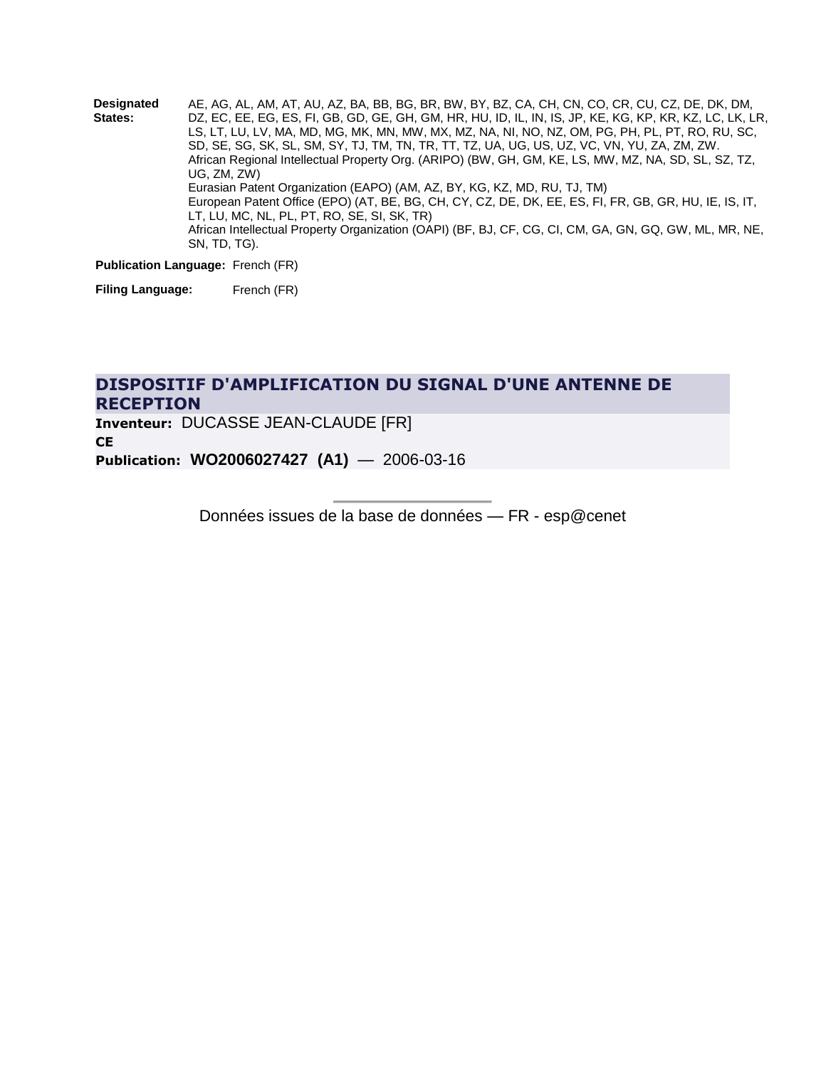**Designated States:** AE, AG, AL, AM, AT, AU, AZ, BA, BB, BG, BR, BW, BY, BZ, CA, CH, CN, CO, CR, CU, CZ, DE, DK, DM, DZ, EC, EE, EG, ES, FI, GB, GD, GE, GH, GM, HR, HU, ID, IL, IN, IS, JP, KE, KG, KP, KR, KZ, LC, LK, LR, LS, LT, LU, LV, MA, MD, MG, MK, MN, MW, MX, MZ, NA, NI, NO, NZ, OM, PG, PH, PL, PT, RO, RU, SC, SD, SE, SG, SK, SL, SM, SY, TJ, TM, TN, TR, TT, TZ, UA, UG, US, UZ, VC, VN, YU, ZA, ZM, ZW. African Regional Intellectual Property Org. (ARIPO) (BW, GH, GM, KE, LS, MW, MZ, NA, SD, SL, SZ, TZ, UG, ZM, ZW) Eurasian Patent Organization (EAPO) (AM, AZ, BY, KG, KZ, MD, RU, TJ, TM) European Patent Office (EPO) (AT, BE, BG, CH, CY, CZ, DE, DK, EE, ES, FI, FR, GB, GR, HU, IE, IS, IT, LT, LU, MC, NL, PL, PT, RO, SE, SI, SK, TR) African Intellectual Property Organization (OAPI) (BF, BJ, CF, CG, CI, CM, GA, GN, GQ, GW, ML, MR, NE, SN, TD, TG).

**Publication Language:** French (FR)

**Filing Language:** French (FR)

## **[DISPOSITIF D'AMPLIFICATION DU SIGNAL D'UNE ANTENNE DE](http://fr.espacenet.com/publicationDetails/biblio?KC=A1&date=20060316&NR=2006027427A1&DB=fr.espacenet.com&locale=fr_FR&CC=WO&FT=D)  [RECEPTION](http://fr.espacenet.com/publicationDetails/biblio?KC=A1&date=20060316&NR=2006027427A1&DB=fr.espacenet.com&locale=fr_FR&CC=WO&FT=D)**

**Inventeur:** DUCASSE JEAN-CLAUDE [FR] **CE Publication: WO2006027427 (A1)** — 2006-03-16

Données issues de la base de données — FR - esp@cenet